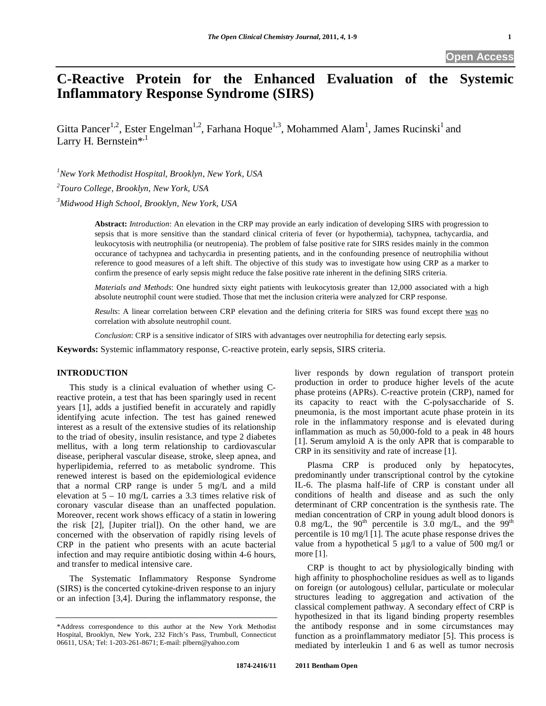# **C-Reactive Protein for the Enhanced Evaluation of the Systemic Inflammatory Response Syndrome (SIRS)**

Gitta Pancer<sup>1,2</sup>, Ester Engelman<sup>1,2</sup>, Farhana Hoque<sup>1,3</sup>, Mohammed Alam<sup>1</sup>, James Rucinski<sup>1</sup> and Larry H. Bernstein\*, $1$ 

*1 New York Methodist Hospital, Brooklyn, New York, USA 2 Touro College, Brooklyn, New York, USA* 

*3 Midwood High School, Brooklyn, New York, USA* 

**Abstract:** *Introduction*: An elevation in the CRP may provide an early indication of developing SIRS with progression to sepsis that is more sensitive than the standard clinical criteria of fever (or hypothermia), tachypnea, tachycardia, and leukocytosis with neutrophilia (or neutropenia). The problem of false positive rate for SIRS resides mainly in the common occurance of tachypnea and tachycardia in presenting patients, and in the confounding presence of neutrophilia without reference to good measures of a left shift. The objective of this study was to investigate how using CRP as a marker to confirm the presence of early sepsis might reduce the false positive rate inherent in the defining SIRS criteria.

*Materials and Methods*: One hundred sixty eight patients with leukocytosis greater than 12,000 associated with a high absolute neutrophil count were studied. Those that met the inclusion criteria were analyzed for CRP response.

*Results*: A linear correlation between CRP elevation and the defining criteria for SIRS was found except there was no correlation with absolute neutrophil count.

*Conclusion*: CRP is a sensitive indicator of SIRS with advantages over neutrophilia for detecting early sepsis.

**Keywords:** Systemic inflammatory response, C-reactive protein, early sepsis, SIRS criteria.

# **INTRODUCTION**

 This study is a clinical evaluation of whether using Creactive protein, a test that has been sparingly used in recent years [1], adds a justified benefit in accurately and rapidly identifying acute infection. The test has gained renewed interest as a result of the extensive studies of its relationship to the triad of obesity, insulin resistance, and type 2 diabetes mellitus, with a long term relationship to cardiovascular disease, peripheral vascular disease, stroke, sleep apnea, and hyperlipidemia, referred to as metabolic syndrome. This renewed interest is based on the epidemiological evidence that a normal CRP range is under 5 mg/L and a mild elevation at 5 – 10 mg/L carries a 3.3 times relative risk of coronary vascular disease than an unaffected population. Moreover, recent work shows efficacy of a statin in lowering the risk [2], [Jupiter trial]). On the other hand, we are concerned with the observation of rapidly rising levels of CRP in the patient who presents with an acute bacterial infection and may require antibiotic dosing within 4-6 hours, and transfer to medical intensive care.

 The Systematic Inflammatory Response Syndrome (SIRS) is the concerted cytokine-driven response to an injury or an infection [3,4]. During the inflammatory response, the liver responds by down regulation of transport protein production in order to produce higher levels of the acute phase proteins (APRs). C-reactive protein (CRP), named for its capacity to react with the C-polysaccharide of S. pneumonia, is the most important acute phase protein in its role in the inflammatory response and is elevated during inflammation as much as 50,000-fold to a peak in 48 hours [1]. Serum amyloid A is the only APR that is comparable to CRP in its sensitivity and rate of increase [1].

Plasma CRP is produced only by hepatocytes, predominantly under transcriptional control by the cytokine IL-6. The plasma half-life of CRP is constant under all conditions of health and disease and as such the only determinant of CRP concentration is the synthesis rate. The median concentration of CRP in young adult blood donors is 0.8 mg/L, the  $90<sup>th</sup>$  percentile is 3.0 mg/L, and the  $99<sup>th</sup>$ percentile is 10 mg/l [1]. The acute phase response drives the value from a hypothetical 5  $\mu$ g/l to a value of 500 mg/l or more [1].

 CRP is thought to act by physiologically binding with high affinity to phosphocholine residues as well as to ligands on foreign (or autologous) cellular, particulate or molecular structures leading to aggregation and activation of the classical complement pathway. A secondary effect of CRP is hypothesized in that its ligand binding property resembles the antibody response and in some circumstances may function as a proinflammatory mediator [5]. This process is mediated by interleukin 1 and 6 as well as tumor necrosis

<sup>\*</sup>Address correspondence to this author at the New York Methodist Hospital, Brooklyn, New York, 232 Fitch's Pass, Trumbull, Connecticut 06611, USA; Tel: 1-203-261-8671; E-mail: plbern@yahoo.com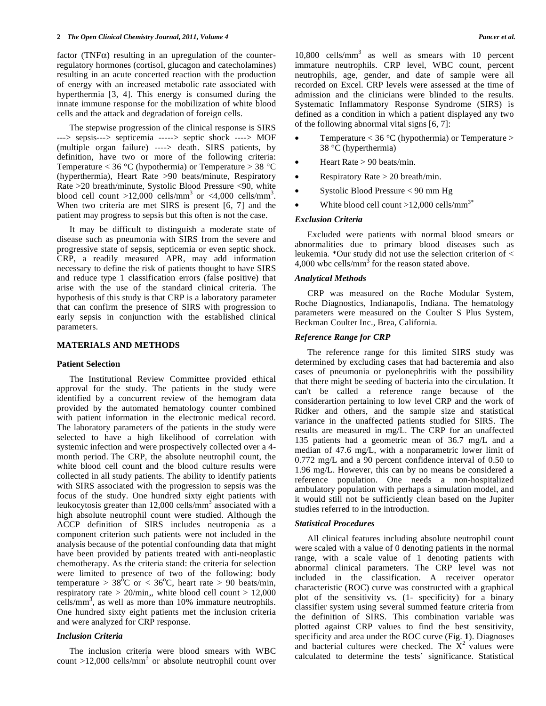factor (TNF $\alpha$ ) resulting in an upregulation of the counterregulatory hormones (cortisol, glucagon and catecholamines) resulting in an acute concerted reaction with the production of energy with an increased metabolic rate associated with hyperthermia [3, 4]. This energy is consumed during the innate immune response for the mobilization of white blood cells and the attack and degradation of foreign cells.

 The stepwise progression of the clinical response is SIRS ---> sepsis---> septicemia -----> septic shock ----> MOF (multiple organ failure) ----> death. SIRS patients, by definition, have two or more of the following criteria: Temperature  $<$  36 °C (hypothermia) or Temperature  $>$  38 °C (hyperthermia), Heart Rate >90 beats/minute, Respiratory Rate >20 breath/minute, Systolic Blood Pressure <90, white blood cell count  $>12,000$  cells/mm<sup>3</sup> or <4,000 cells/mm<sup>3</sup>. When two criteria are met SIRS is present [6, 7] and the patient may progress to sepsis but this often is not the case.

 It may be difficult to distinguish a moderate state of disease such as pneumonia with SIRS from the severe and progressive state of sepsis, septicemia or even septic shock. CRP, a readily measured APR, may add information necessary to define the risk of patients thought to have SIRS and reduce type 1 classification errors (false positive) that arise with the use of the standard clinical criteria. The hypothesis of this study is that CRP is a laboratory parameter that can confirm the presence of SIRS with progression to early sepsis in conjunction with the established clinical parameters.

#### **MATERIALS AND METHODS**

#### **Patient Selection**

 The Institutional Review Committee provided ethical approval for the study. The patients in the study were identified by a concurrent review of the hemogram data provided by the automated hematology counter combined with patient information in the electronic medical record. The laboratory parameters of the patients in the study were selected to have a high likelihood of correlation with systemic infection and were prospectively collected over a 4 month period. The CRP, the absolute neutrophil count, the white blood cell count and the blood culture results were collected in all study patients. The ability to identify patients with SIRS associated with the progression to sepsis was the focus of the study. One hundred sixty eight patients with leukocytosis greater than 12,000 cells/ $\text{mm}^3$  associated with a high absolute neutrophil count were studied. Although the ACCP definition of SIRS includes neutropenia as a component criterion such patients were not included in the analysis because of the potential confounding data that might have been provided by patients treated with anti-neoplastic chemotherapy. As the criteria stand: the criteria for selection were limited to presence of two of the following: body temperature >  $38^{\circ}$ C or <  $36^{\circ}$ C, heart rate > 90 beats/min, respiratory rate  $> 20$ /min,, white blood cell count  $> 12,000$ cells/mm<sup>3</sup>, as well as more than 10% immature neutrophils. One hundred sixty eight patients met the inclusion criteria and were analyzed for CRP response.

### *Inclusion Criteria*

 The inclusion criteria were blood smears with WBC count  $>12,000$  cells/mm<sup>3</sup> or absolute neutrophil count over

10,800 cells/mm<sup>3</sup> as well as smears with 10 percent immature neutrophils. CRP level, WBC count, percent neutrophils, age, gender, and date of sample were all recorded on Excel. CRP levels were assessed at the time of admission and the clinicians were blinded to the results. Systematic Inflammatory Response Syndrome (SIRS) is defined as a condition in which a patient displayed any two of the following abnormal vital signs [6, 7]:

- Temperature  $<$  36 °C (hypothermia) or Temperature  $>$ 38 °C (hyperthermia)
- Heart Rate  $> 90$  beats/min.
- Respiratory Rate  $> 20$  breath/min.
- Systolic Blood Pressure < 90 mm Hg
- White blood cell count  $>12,000$  cells/mm<sup>3\*</sup>

# *Exclusion Criteria*

 Excluded were patients with normal blood smears or abnormalities due to primary blood diseases such as leukemia. \*Our study did not use the selection criterion of <  $4,000$  wbc cells/mm<sup>3</sup> for the reason stated above.

#### *Analytical Methods*

 CRP was measured on the Roche Modular System, Roche Diagnostics, Indianapolis, Indiana. The hematology parameters were measured on the Coulter S Plus System, Beckman Coulter Inc., Brea, California.

### *Reference Range for CRP*

 The reference range for this limited SIRS study was determined by excluding cases that had bacteremia and also cases of pneumonia or pyelonephritis with the possibility that there might be seeding of bacteria into the circulation. It can't be called a reference range because of the considerartion pertaining to low level CRP and the work of Ridker and others, and the sample size and statistical variance in the unaffected patients studied for SIRS. The results are measured in mg/L. The CRP for an unaffected 135 patients had a geometric mean of 36.7 mg/L and a median of 47.6 mg/L, with a nonparametric lower limit of 0.772 mg/L and a 90 percent confidence interval of 0.50 to 1.96 mg/L. However, this can by no means be considered a reference population. One needs a non-hospitalized ambulatory population with perhaps a simulation model, and it would still not be sufficiently clean based on the Jupiter studies referred to in the introduction.

# *Statistical Procedures*

 All clinical features including absolute neutrophil count were scaled with a value of 0 denoting patients in the normal range, with a scale value of 1 denoting patients with abnormal clinical parameters. The CRP level was not included in the classification. A receiver operator characteristic (ROC) curve was constructed with a graphical plot of the sensitivity vs. (1- specificity) for a binary classifier system using several summed feature criteria from the definition of SIRS. This combination variable was plotted against CRP values to find the best sensitivity, specificity and area under the ROC curve (Fig. **1**). Diagnoses and bacterial cultures were checked. The  $X^2$  values were calculated to determine the tests' significance. Statistical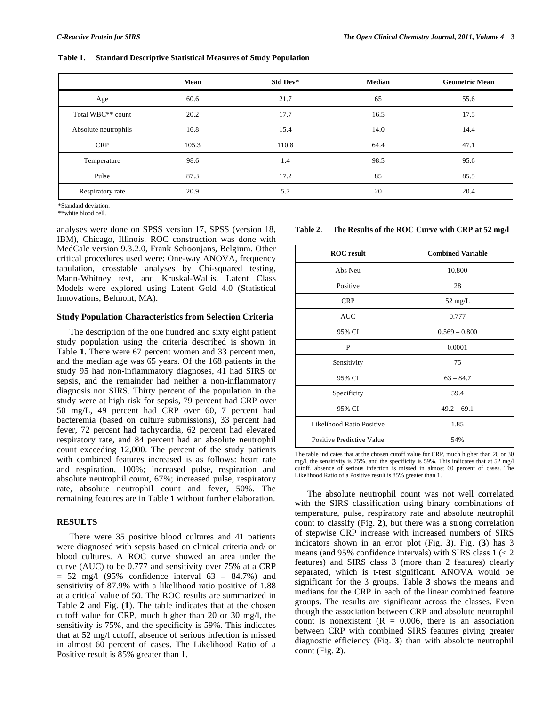|  | Table 1. Standard Descriptive Statistical Measures of Study Population |
|--|------------------------------------------------------------------------|
|--|------------------------------------------------------------------------|

|                               | Mean  | Std Dev* | <b>Median</b> | <b>Geometric Mean</b> |
|-------------------------------|-------|----------|---------------|-----------------------|
| Age                           | 60.6  | 21.7     | 65            | 55.6                  |
| Total WBC <sup>**</sup> count | 20.2  | 17.7     | 16.5          | 17.5                  |
| Absolute neutrophils          | 16.8  | 15.4     | 14.0          | 14.4                  |
| <b>CRP</b>                    | 105.3 | 110.8    | 64.4          | 47.1                  |
| Temperature                   | 98.6  | 1.4      | 98.5          | 95.6                  |
| Pulse                         | 87.3  | 17.2     | 85            | 85.5                  |
| Respiratory rate              | 20.9  | 5.7      | 20            | 20.4                  |

\*Standard deviation.

\*\*white blood cell.

analyses were done on SPSS version 17, SPSS (version 18, IBM), Chicago, Illinois. ROC construction was done with MedCalc version 9.3.2.0, Frank Schoonjans, Belgium. Other critical procedures used were: One-way ANOVA, frequency tabulation, crosstable analyses by Chi-squared testing, Mann-Whitney test, and Kruskal-Wallis. Latent Class Models were explored using Latent Gold 4.0 (Statistical Innovations, Belmont, MA).

#### **Study Population Characteristics from Selection Criteria**

 The description of the one hundred and sixty eight patient study population using the criteria described is shown in Table **1**. There were 67 percent women and 33 percent men, and the median age was 65 years. Of the 168 patients in the study 95 had non-inflammatory diagnoses, 41 had SIRS or sepsis, and the remainder had neither a non-inflammatory diagnosis nor SIRS. Thirty percent of the population in the study were at high risk for sepsis, 79 percent had CRP over 50 mg/L, 49 percent had CRP over 60, 7 percent had bacteremia (based on culture submissions), 33 percent had fever, 72 percent had tachycardia, 62 percent had elevated respiratory rate, and 84 percent had an absolute neutrophil count exceeding 12,000. The percent of the study patients with combined features increased is as follows: heart rate and respiration, 100%; increased pulse, respiration and absolute neutrophil count, 67%; increased pulse, respiratory rate, absolute neutrophil count and fever, 50%. The remaining features are in Table **1** without further elaboration.

#### **RESULTS**

 There were 35 positive blood cultures and 41 patients were diagnosed with sepsis based on clinical criteria and/ or blood cultures. A ROC curve showed an area under the curve (AUC) to be 0.777 and sensitivity over 75% at a CRP  $= 52$  mg/l (95% confidence interval 63 – 84.7%) and sensitivity of 87.9% with a likelihood ratio positive of 1.88 at a critical value of 50. The ROC results are summarized in Table **2** and Fig. (**1**). The table indicates that at the chosen cutoff value for CRP, much higher than 20 or 30 mg/l, the sensitivity is 75%, and the specificity is 59%. This indicates that at 52 mg/l cutoff, absence of serious infection is missed in almost 60 percent of cases. The Likelihood Ratio of a Positive result is 85% greater than 1.

#### **Table 2. The Results of the ROC Curve with CRP at 52 mg/l**

| <b>ROC</b> result         | <b>Combined Variable</b> |
|---------------------------|--------------------------|
| Abs Neu                   | 10,800                   |
| Positive                  | 28                       |
| <b>CRP</b>                | $52 \text{ mg/L}$        |
| <b>AUC</b>                | 0.777                    |
| 95% CI                    | $0.569 - 0.800$          |
| P                         | 0.0001                   |
| Sensitivity               | 75                       |
| 95% CI                    | $63 - 84.7$              |
| Specificity               | 59.4                     |
| 95% CI                    | $49.2 - 69.1$            |
| Likelihood Ratio Positive | 1.85                     |
| Positive Predictive Value | 54%                      |

The table indicates that at the chosen cutoff value for CRP, much higher than 20 or 30 mg/l, the sensitivity is 75%, and the specificity is 59%. This indicates that at 52 mg/l cutoff, absence of serious infection is missed in almost 60 percent of cases. The Likelihood Ratio of a Positive result is 85% greater than 1.

 The absolute neutrophil count was not well correlated with the SIRS classification using binary combinations of temperature, pulse, respiratory rate and absolute neutrophil count to classify (Fig. **2**), but there was a strong correlation of stepwise CRP increase with increased numbers of SIRS indicators shown in an error plot (Fig. **3**). Fig. (**3**) has 3 means (and  $95\%$  confidence intervals) with SIRS class  $1 \leq 2$ features) and SIRS class 3 (more than 2 features) clearly separated, which is t-test significant. ANOVA would be significant for the 3 groups. Table **3** shows the means and medians for the CRP in each of the linear combined feature groups. The results are significant across the classes. Even though the association between CRP and absolute neutrophil count is nonexistent  $(R = 0.006,$  there is an association between CRP with combined SIRS features giving greater diagnostic efficiency (Fig. **3**) than with absolute neutrophil count (Fig. **2**).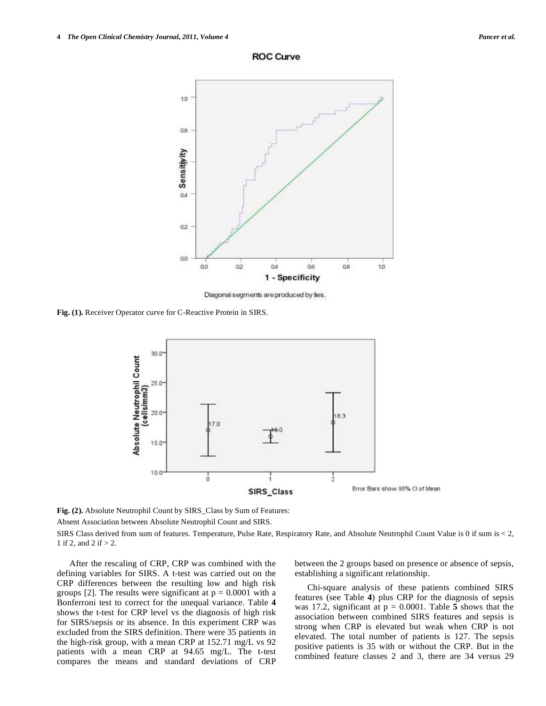

**ROC Curve** 

Diagonal segments are produced by fies.

**Fig. (1).** Receiver Operator curve for C-Reactive Protein in SIRS.



**Fig. (2).** Absolute Neutrophil Count by SIRS\_Class by Sum of Features:

Absent Association between Absolute Neutrophil Count and SIRS.

SIRS Class derived from sum of features. Temperature, Pulse Rate, Respiratory Rate, and Absolute Neutrophil Count Value is 0 if sum is < 2, 1 if 2, and 2 if  $> 2$ .

 After the rescaling of CRP, CRP was combined with the defining variables for SIRS. A t-test was carried out on the CRP differences between the resulting low and high risk groups [2]. The results were significant at  $p = 0.0001$  with a Bonferroni test to correct for the unequal variance. Table **4** shows the t-test for CRP level vs the diagnosis of high risk for SIRS/sepsis or its absence. In this experiment CRP was excluded from the SIRS definition. There were 35 patients in the high-risk group, with a mean CRP at 152.71 mg/L vs 92 patients with a mean CRP at 94.65 mg/L. The t-test compares the means and standard deviations of CRP between the 2 groups based on presence or absence of sepsis, establishing a significant relationship.

 Chi-square analysis of these patients combined SIRS features (see Table **4**) plus CRP for the diagnosis of sepsis was 17.2, significant at  $p = 0.0001$ . Table 5 shows that the association between combined SIRS features and sepsis is strong when CRP is elevated but weak when CRP is not elevated. The total number of patients is 127. The sepsis positive patients is 35 with or without the CRP. But in the combined feature classes 2 and 3, there are 34 versus 29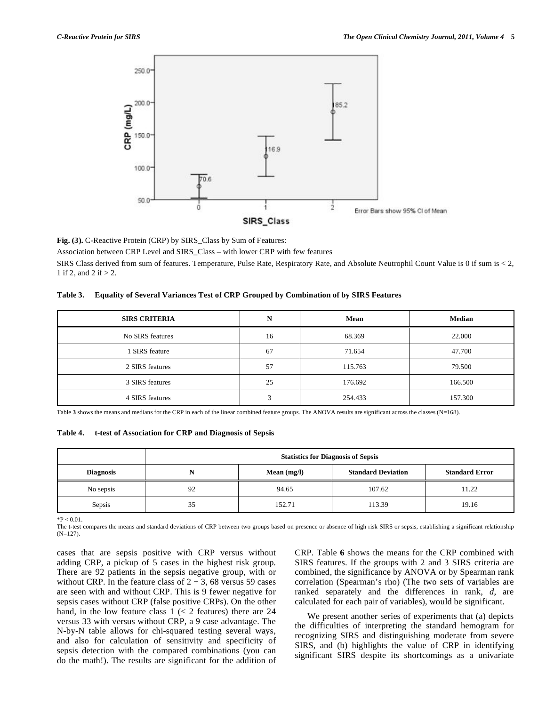

**Fig. (3).** C-Reactive Protein (CRP) by SIRS\_Class by Sum of Features:

Association between CRP Level and SIRS\_Class – with lower CRP with few features

SIRS Class derived from sum of features. Temperature, Pulse Rate, Respiratory Rate, and Absolute Neutrophil Count Value is 0 if sum is < 2, 1 if 2, and 2 if  $> 2$ .

| Table 3. Equality of Several Variances Test of CRP Grouped by Combination of by SIRS Features |  |  |
|-----------------------------------------------------------------------------------------------|--|--|
|                                                                                               |  |  |

| <b>SIRS CRITERIA</b> | N  | Mean    | <b>Median</b> |
|----------------------|----|---------|---------------|
| No SIRS features     | 16 | 68.369  | 22.000        |
| 1 SIRS feature       | 67 | 71.654  | 47.700        |
| 2 SIRS features      | 57 | 115.763 | 79.500        |
| 3 SIRS features      | 25 | 176.692 | 166.500       |
| 4 SIRS features      | 3  | 254.433 | 157.300       |

Table **3** shows the means and medians for the CRP in each of the linear combined feature groups. The ANOVA results are significant across the classes (N=168).

**Table 4. t-test of Association for CRP and Diagnosis of Sepsis** 

|                  | <b>Statistics for Diagnosis of Sepsis</b>                           |        |        |       |  |  |
|------------------|---------------------------------------------------------------------|--------|--------|-------|--|--|
| <b>Diagnosis</b> | <b>Standard Deviation</b><br><b>Standard Error</b><br>Mean $(mg/l)$ |        |        |       |  |  |
| No sepsis        | 92                                                                  | 94.65  | 107.62 | 11.22 |  |  |
| Sepsis           | 35                                                                  | 152.71 | 113.39 | 19.16 |  |  |

 $*P < 0.01$ 

The t-test compares the means and standard deviations of CRP between two groups based on presence or absence of high risk SIRS or sepsis, establishing a significant relationship (N=127).

cases that are sepsis positive with CRP versus without adding CRP, a pickup of 5 cases in the highest risk group. There are 92 patients in the sepsis negative group, with or without CRP. In the feature class of  $2 + 3$ , 68 versus 59 cases are seen with and without CRP. This is 9 fewer negative for sepsis cases without CRP (false positive CRPs). On the other hand, in the low feature class  $1 \leq 2$  features) there are 24 versus 33 with versus without CRP, a 9 case advantage. The N-by-N table allows for chi-squared testing several ways, and also for calculation of sensitivity and specificity of sepsis detection with the compared combinations (you can do the math!). The results are significant for the addition of CRP. Table **6** shows the means for the CRP combined with SIRS features. If the groups with 2 and 3 SIRS criteria are combined, the significance by ANOVA or by Spearman rank correlation (Spearman's rho) (The two sets of variables are ranked separately and the differences in rank, *d*, are calculated for each pair of variables), would be significant.

 We present another series of experiments that (a) depicts the difficulties of interpreting the standard hemogram for recognizing SIRS and distinguishing moderate from severe SIRS, and (b) highlights the value of CRP in identifying significant SIRS despite its shortcomings as a univariate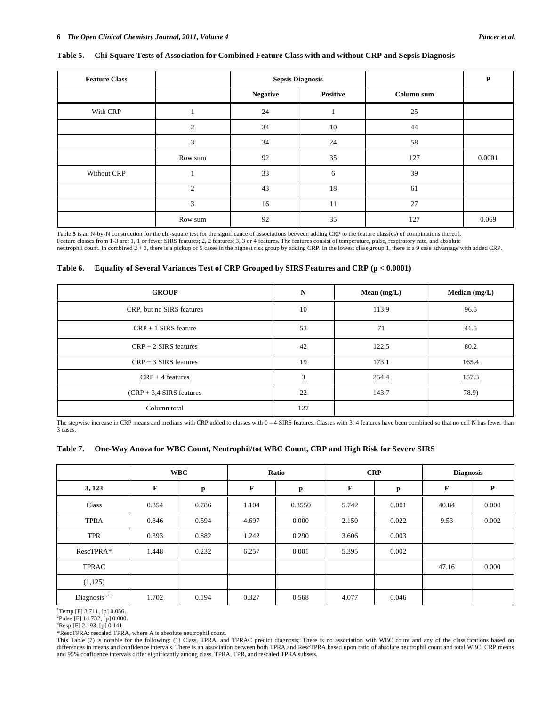### **Table 5. Chi-Square Tests of Association for Combined Feature Class with and without CRP and Sepsis Diagnosis**

| <b>Feature Class</b> |                | <b>Sepsis Diagnosis</b> |          |            | P      |
|----------------------|----------------|-------------------------|----------|------------|--------|
|                      |                | <b>Negative</b>         | Positive | Column sum |        |
| With CRP             |                | 24                      |          | 25         |        |
|                      | $\overline{c}$ | 34                      | 10       | 44         |        |
|                      | 3              | 34                      | 24       | 58         |        |
|                      | Row sum        | 92                      | 35       | 127        | 0.0001 |
| Without CRP          |                | 33                      | 6        | 39         |        |
|                      | 2              | 43                      | 18       | 61         |        |
|                      | 3              | 16                      | 11       | 27         |        |
|                      | Row sum        | 92                      | 35       | 127        | 0.069  |

Table **5** is an N-by-N construction for the chi-square test for the significance of associations between adding CRP to the feature class(es) of combinations thereof. Feature classes from 1-3 are: 1, 1 or fewer SIRS features; 2, 2 features; 3, 3 or 4 features. The features consist of temperature, pulse, respiratory rate, and absolute<br>neutrophil count. In combined 2 + 3, there is a picku

#### **Table 6. Equality of Several Variances Test of CRP Grouped by SIRS Features and CRP (p < 0.0001)**

| <b>GROUP</b>               | N              | Mean $(mg/L)$ | Median $(mg/L)$ |
|----------------------------|----------------|---------------|-----------------|
| CRP, but no SIRS features  | 10             | 113.9         | 96.5            |
| $CRP + 1$ SIRS feature     | 53             | 71            | 41.5            |
| $CRP + 2$ SIRS features    | 42             | 122.5         | 80.2            |
| $CRP + 3$ SIRS features    | 19             | 173.1         | 165.4           |
| $CRP + 4$ features         | $\overline{3}$ | 254.4         | 157.3           |
| $(CRP + 3.4$ SIRS features | 22             | 143.7         | 78.9)           |
| Column total               | 127            |               |                 |

The stepwise increase in CRP means and medians with CRP added to classes with 0 - 4 SIRS features. Classes with 3, 4 features have been combined so that no cell N has fewer than 3 cases.

|  | Table 7. One-Way Anova for WBC Count, Neutrophil/tot WBC Count, CRP and High Risk for Severe SIRS |  |
|--|---------------------------------------------------------------------------------------------------|--|
|  |                                                                                                   |  |

|                            |       | <b>WBC</b> | Ratio |        | <b>CRP</b> |              | <b>Diagnosis</b> |       |
|----------------------------|-------|------------|-------|--------|------------|--------------|------------------|-------|
| 3, 123                     | F     | p          | F     | p      | F          | $\mathbf{p}$ | F                | P     |
| Class                      | 0.354 | 0.786      | 1.104 | 0.3550 | 5.742      | 0.001        | 40.84            | 0.000 |
| <b>TPRA</b>                | 0.846 | 0.594      | 4.697 | 0.000  | 2.150      | 0.022        | 9.53             | 0.002 |
| <b>TPR</b>                 | 0.393 | 0.882      | 1.242 | 0.290  | 3.606      | 0.003        |                  |       |
| RescTPRA*                  | 1.448 | 0.232      | 6.257 | 0.001  | 5.395      | 0.002        |                  |       |
| TPRAC                      |       |            |       |        |            |              | 47.16            | 0.000 |
| (1,125)                    |       |            |       |        |            |              |                  |       |
| Diagnosis <sup>1,2,3</sup> | 1.702 | 0.194      | 0.327 | 0.568  | 4.077      | 0.046        |                  |       |

 $T$ Temp [F] 3.711, [p] 0.056.

 ${}^{2}$ Pulse [F] 14.732, [p] 0.000.

 ${}^{3}$ Resp [F] 2.193, [p] 0.141.

\*RescTPRA: rescaled TPRA, where A is absolute neutrophil count.

This Table (7) is notable for the following: (1) Class, TPRA, and TPRAC predict diagnosis; There is no association with WBC count and any of the classifications based on differences in means and confidence intervals. There is an association between both TPRA and RescTPRA based upon ratio of absolute neutrophil count and total WBC. CRP means and 95% confidence intervals differ significantly among class, TPRA, TPR, and rescaled TPRA subsets.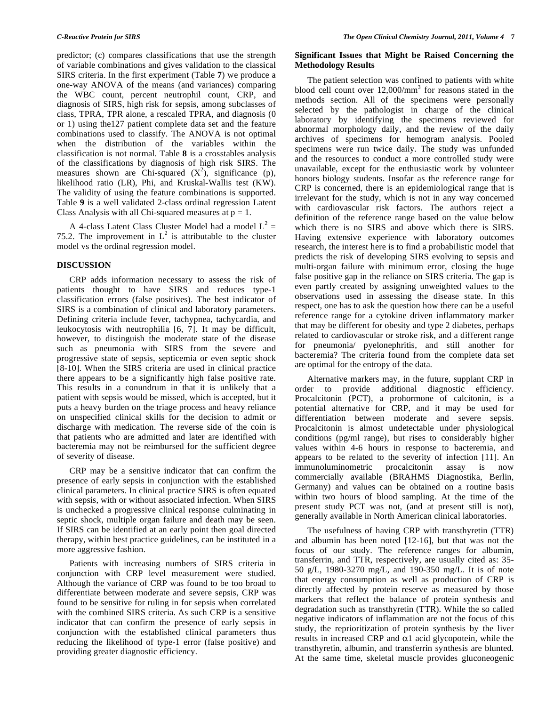predictor; (c) compares classifications that use the strength of variable combinations and gives validation to the classical SIRS criteria. In the first experiment (Table **7**) we produce a one-way ANOVA of the means (and variances) comparing the WBC count, percent neutrophil count, CRP, and diagnosis of SIRS, high risk for sepsis, among subclasses of class, TPRA, TPR alone, a rescaled TPRA, and diagnosis (0 or 1) using the127 patient complete data set and the feature combinations used to classify. The ANOVA is not optimal when the distribution of the variables within the classification is not normal. Table **8** is a crosstables analysis of the classifications by diagnosis of high risk SIRS. The measures shown are Chi-squared  $(X^2)$ , significance (p), likelihood ratio (LR), Phi, and Kruskal-Wallis test (KW). The validity of using the feature combinations is supported. Table **9** is a well validated 2-class ordinal regression Latent Class Analysis with all Chi-squared measures at  $p = 1$ .

A 4-class Latent Class Cluster Model had a model  $L^2 =$ 75.2. The improvement in  $L^2$  is attributable to the cluster model vs the ordinal regression model.

# **DISCUSSION**

 CRP adds information necessary to assess the risk of patients thought to have SIRS and reduces type-1 classification errors (false positives). The best indicator of SIRS is a combination of clinical and laboratory parameters. Defining criteria include fever, tachypnea, tachycardia, and leukocytosis with neutrophilia [6, 7]. It may be difficult, however, to distinguish the moderate state of the disease such as pneumonia with SIRS from the severe and progressive state of sepsis, septicemia or even septic shock [8-10]. When the SIRS criteria are used in clinical practice there appears to be a significantly high false positive rate. This results in a conundrum in that it is unlikely that a patient with sepsis would be missed, which is accepted, but it puts a heavy burden on the triage process and heavy reliance on unspecified clinical skills for the decision to admit or discharge with medication. The reverse side of the coin is that patients who are admitted and later are identified with bacteremia may not be reimbursed for the sufficient degree of severity of disease.

 CRP may be a sensitive indicator that can confirm the presence of early sepsis in conjunction with the established clinical parameters. In clinical practice SIRS is often equated with sepsis, with or without associated infection. When SIRS is unchecked a progressive clinical response culminating in septic shock, multiple organ failure and death may be seen. If SIRS can be identified at an early point then goal directed therapy, within best practice guidelines, can be instituted in a more aggressive fashion.

 Patients with increasing numbers of SIRS criteria in conjunction with CRP level measurement were studied. Although the variance of CRP was found to be too broad to differentiate between moderate and severe sepsis, CRP was found to be sensitive for ruling in for sepsis when correlated with the combined SIRS criteria. As such CRP is a sensitive indicator that can confirm the presence of early sepsis in conjunction with the established clinical parameters thus reducing the likelihood of type-1 error (false positive) and providing greater diagnostic efficiency.

# **Significant Issues that Might be Raised Concerning the Methodology Results**

 The patient selection was confined to patients with white blood cell count over 12,000/mm<sup>3</sup> for reasons stated in the methods section. All of the specimens were personally selected by the pathologist in charge of the clinical laboratory by identifying the specimens reviewed for abnormal morphology daily, and the review of the daily archives of specimens for hemogram analysis. Pooled specimens were run twice daily. The study was unfunded and the resources to conduct a more controlled study were unavailable, except for the enthusiastic work by volunteer honors biology students. Insofar as the reference range for CRP is concerned, there is an epidemiological range that is irrelevant for the study, which is not in any way concerned with cardiovascular risk factors. The authors reject a definition of the reference range based on the value below which there is no SIRS and above which there is SIRS. Having extensive experience with laboratory outcomes research, the interest here is to find a probabilistic model that predicts the risk of developing SIRS evolving to sepsis and multi-organ failure with minimum error, closing the huge false positive gap in the reliance on SIRS criteria. The gap is even partly created by assigning unweighted values to the observations used in assessing the disease state. In this respect, one has to ask the question how there can be a useful reference range for a cytokine driven inflammatory marker that may be different for obesity and type 2 diabetes, perhaps related to cardiovascular or stroke risk, and a different range for pneumonia/ pyelonephritis, and still another for bacteremia? The criteria found from the complete data set are optimal for the entropy of the data.

 Alternative markers may, in the future, supplant CRP in order to provide additional diagnostic efficiency. Procalcitonin (PCT), a prohormone of calcitonin, is a potential alternative for CRP, and it may be used for differentiation between moderate and severe sepsis. Procalcitonin is almost undetectable under physiological conditions (pg/ml range), but rises to considerably higher values within 4-6 hours in response to bacteremia, and appears to be related to the severity of infection [11]. An immunoluminometric procalcitonin assay is now commercially available (BRAHMS Diagnostika, Berlin, Germany) and values can be obtained on a routine basis within two hours of blood sampling. At the time of the present study PCT was not, (and at present still is not), generally available in North American clinical laboratories.

 The usefulness of having CRP with transthyretin (TTR) and albumin has been noted [12-16], but that was not the focus of our study. The reference ranges for albumin, transferrin, and TTR, respectively, are usually cited as: 35- 50 g/L, 1980-3270 mg/L, and 190-350 mg/L. It is of note that energy consumption as well as production of CRP is directly affected by protein reserve as measured by those markers that reflect the balance of protein synthesis and degradation such as transthyretin (TTR). While the so called negative indicators of inflammation are not the focus of this study, the reprioritization of protein synthesis by the liver results in increased CRP and  $\alpha$ 1 acid glycopotein, while the transthyretin, albumin, and transferrin synthesis are blunted. At the same time, skeletal muscle provides gluconeogenic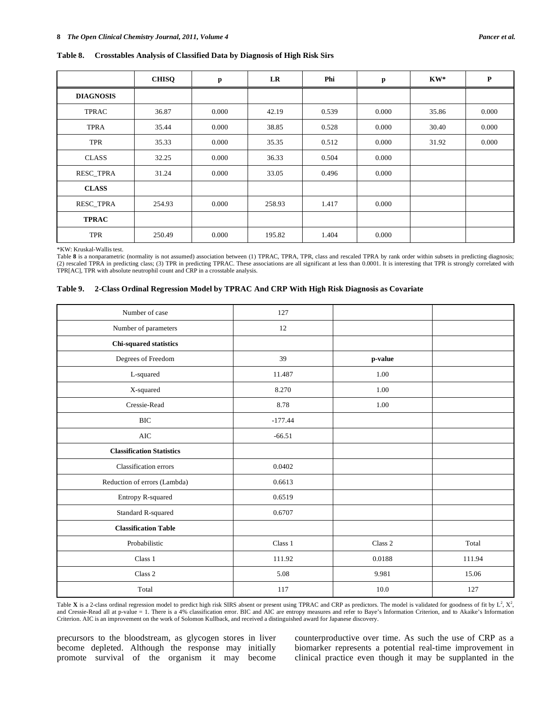#### **Table 8. Crosstables Analysis of Classified Data by Diagnosis of High Risk Sirs**

|                  | <b>CHISQ</b> | p     | LR     | Phi   | p     | $KW^*$ | $\mathbf P$ |
|------------------|--------------|-------|--------|-------|-------|--------|-------------|
| <b>DIAGNOSIS</b> |              |       |        |       |       |        |             |
| <b>TPRAC</b>     | 36.87        | 0.000 | 42.19  | 0.539 | 0.000 | 35.86  | 0.000       |
| <b>TPRA</b>      | 35.44        | 0.000 | 38.85  | 0.528 | 0.000 | 30.40  | 0.000       |
| <b>TPR</b>       | 35.33        | 0.000 | 35.35  | 0.512 | 0.000 | 31.92  | 0.000       |
| <b>CLASS</b>     | 32.25        | 0.000 | 36.33  | 0.504 | 0.000 |        |             |
| RESC_TPRA        | 31.24        | 0.000 | 33.05  | 0.496 | 0.000 |        |             |
| <b>CLASS</b>     |              |       |        |       |       |        |             |
| RESC_TPRA        | 254.93       | 0.000 | 258.93 | 1.417 | 0.000 |        |             |
| <b>TPRAC</b>     |              |       |        |       |       |        |             |
| <b>TPR</b>       | 250.49       | 0.000 | 195.82 | 1.404 | 0.000 |        |             |

\*KW: Kruskal-Wallis test.

Table 8 is a nonparametric (normality is not assumed) association between (1) TPRAC, TPRA, TPR, class and rescaled TPRA by rank order within subsets in predicting diagnosis; (2) rescaled TPRA in predicting class; (3) TPR in predicting TPRAC. These associations are all significant at less than 0.0001. It is interesting that TPR is strongly correlated with TPR[AC], TPR with absolute neutrophil count and CRP in a crosstable analysis.

#### **Table 9. 2-Class Ordinal Regression Model by TPRAC And CRP With High Risk Diagnosis as Covariate**

| Number of case                   | 127       |         |        |
|----------------------------------|-----------|---------|--------|
| Number of parameters             | 12        |         |        |
| Chi-squared statistics           |           |         |        |
| Degrees of Freedom               | 39        | p-value |        |
| L-squared                        | 11.487    | 1.00    |        |
| X-squared                        | 8.270     | 1.00    |        |
| Cressie-Read                     | 8.78      | 1.00    |        |
| <b>BIC</b>                       | $-177.44$ |         |        |
| <b>AIC</b>                       | $-66.51$  |         |        |
| <b>Classification Statistics</b> |           |         |        |
| Classification errors            | 0.0402    |         |        |
| Reduction of errors (Lambda)     | 0.6613    |         |        |
| Entropy R-squared                | 0.6519    |         |        |
| Standard R-squared               | 0.6707    |         |        |
| <b>Classification Table</b>      |           |         |        |
| Probabilistic                    | Class 1   | Class 2 | Total  |
| Class 1                          | 111.92    | 0.0188  | 111.94 |
| Class 2                          | 5.08      | 9.981   | 15.06  |
| Total                            | 117       | 10.0    | 127    |

Table **X** is a 2-class ordinal regression model to predict high risk SIRS absent or present using TPRAC and CRP as predictors. The model is validated for goodness of fit by  $L^2$ ,  $X^2$ , and Cressie-Read all at p-value = 1. There is a 4% classification error. BIC and AIC are entropy measures and refer to Baye's Information Criterion, and to Akaike's Information Criterion. AIC is an improvement on the work of Solomon Kullback, and received a distinguished award for Japanese discovery.

precursors to the bloodstream, as glycogen stores in liver become depleted. Although the response may initially promote survival of the organism it may become

counterproductive over time. As such the use of CRP as a biomarker represents a potential real-time improvement in clinical practice even though it may be supplanted in the